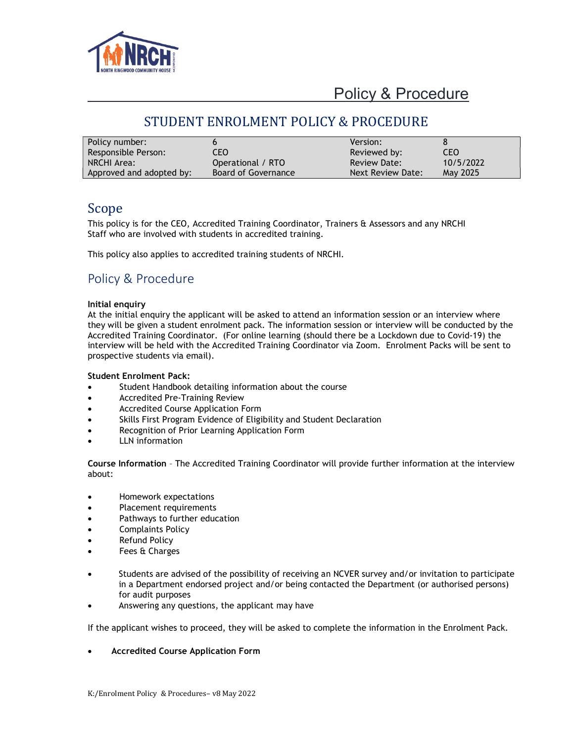

### STUDENT ENROLMENT POLICY & PROCEDURE

| Policy number:           |                     | Version:            |            |
|--------------------------|---------------------|---------------------|------------|
| Responsible Person:      | CEO                 | Reviewed by:        | <b>CEO</b> |
| NRCHI Area:              | Operational / RTO   | <b>Review Date:</b> | 10/5/2022  |
| Approved and adopted by: | Board of Governance | Next Review Date:   | May 2025   |

### Scope

This policy is for the CEO, Accredited Training Coordinator, Trainers & Assessors and any NRCHI Staff who are involved with students in accredited training.

This policy also applies to accredited training students of NRCHI.

### Policy & Procedure

#### Initial enquiry

At the initial enquiry the applicant will be asked to attend an information session or an interview where they will be given a student enrolment pack. The information session or interview will be conducted by the Accredited Training Coordinator. (For online learning (should there be a Lockdown due to Covid-19) the interview will be held with the Accredited Training Coordinator via Zoom. Enrolment Packs will be sent to prospective students via email).

#### Student Enrolment Pack:

- Student Handbook detailing information about the course
- **•** Accredited Pre-Training Review
- Accredited Course Application Form
- Skills First Program Evidence of Eligibility and Student Declaration
- Recognition of Prior Learning Application Form
- LLN information

Course Information – The Accredited Training Coordinator will provide further information at the interview about:

- Homework expectations
- Placement requirements
- Pathways to further education
- Complaints Policy
- Refund Policy
- Fees & Charges
- Students are advised of the possibility of receiving an NCVER survey and/or invitation to participate in a Department endorsed project and/or being contacted the Department (or authorised persons) for audit purposes
- Answering any questions, the applicant may have

If the applicant wishes to proceed, they will be asked to complete the information in the Enrolment Pack.

Accredited Course Application Form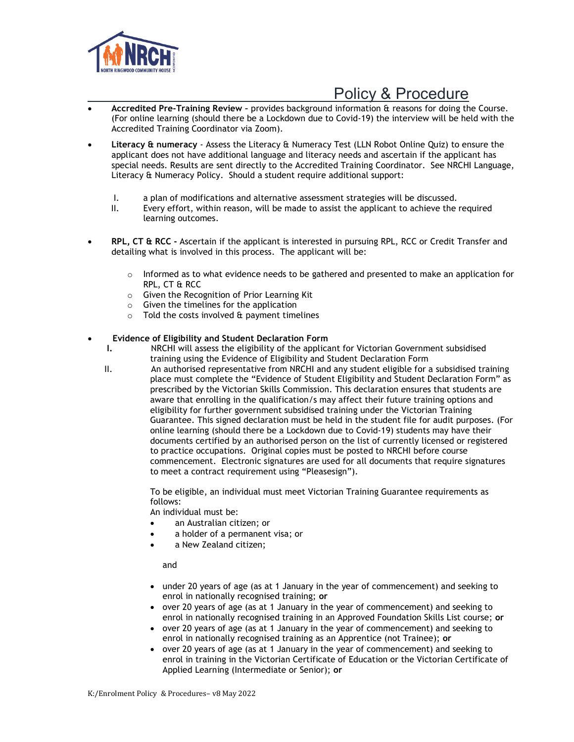

- Accredited Pre-Training Review provides background information & reasons for doing the Course. (For online learning (should there be a Lockdown due to Covid-19) the interview will be held with the Accredited Training Coordinator via Zoom).
- Literacy & numeracy Assess the Literacy & Numeracy Test (LLN Robot Online Quiz) to ensure the applicant does not have additional language and literacy needs and ascertain if the applicant has special needs. Results are sent directly to the Accredited Training Coordinator. See NRCHI Language, Literacy & Numeracy Policy. Should a student require additional support:
	- I. a plan of modifications and alternative assessment strategies will be discussed.
	- II. Every effort, within reason, will be made to assist the applicant to achieve the required learning outcomes.
- RPL, CT & RCC Ascertain if the applicant is interested in pursuing RPL, RCC or Credit Transfer and detailing what is involved in this process. The applicant will be:
	- $\circ$  Informed as to what evidence needs to be gathered and presented to make an application for RPL, CT & RCC
	- o Given the Recognition of Prior Learning Kit
	- $\circ$  Given the timelines for the application
	- $\circ$  Told the costs involved & payment timelines

#### Evidence of Eligibility and Student Declaration Form

- I. NRCHI will assess the eligibility of the applicant for Victorian Government subsidised training using the Evidence of Eligibility and Student Declaration Form
- II. An authorised representative from NRCHI and any student eligible for a subsidised training place must complete the "Evidence of Student Eligibility and Student Declaration Form" as prescribed by the Victorian Skills Commission. This declaration ensures that students are aware that enrolling in the qualification/s may affect their future training options and eligibility for further government subsidised training under the Victorian Training Guarantee. This signed declaration must be held in the student file for audit purposes. (For online learning (should there be a Lockdown due to Covid-19) students may have their documents certified by an authorised person on the list of currently licensed or registered to practice occupations. Original copies must be posted to NRCHI before course commencement. Electronic signatures are used for all documents that require signatures to meet a contract requirement using "Pleasesign").

To be eligible, an individual must meet Victorian Training Guarantee requirements as follows:

An individual must be:

- an Australian citizen; or
- a holder of a permanent visa; or
- a New Zealand citizen;

and

- under 20 years of age (as at 1 January in the year of commencement) and seeking to enrol in nationally recognised training; or
- over 20 years of age (as at 1 January in the year of commencement) and seeking to enrol in nationally recognised training in an Approved Foundation Skills List course; or
- over 20 years of age (as at 1 January in the year of commencement) and seeking to enrol in nationally recognised training as an Apprentice (not Trainee); or
- over 20 years of age (as at 1 January in the year of commencement) and seeking to enrol in training in the Victorian Certificate of Education or the Victorian Certificate of Applied Learning (Intermediate or Senior); or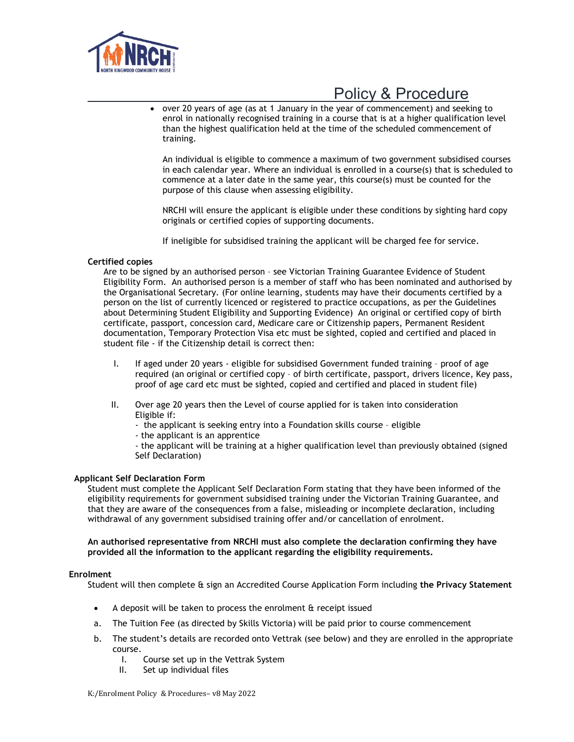

 over 20 years of age (as at 1 January in the year of commencement) and seeking to enrol in nationally recognised training in a course that is at a higher qualification level than the highest qualification held at the time of the scheduled commencement of training.

An individual is eligible to commence a maximum of two government subsidised courses in each calendar year. Where an individual is enrolled in a course(s) that is scheduled to commence at a later date in the same year, this course(s) must be counted for the purpose of this clause when assessing eligibility.

NRCHI will ensure the applicant is eligible under these conditions by sighting hard copy originals or certified copies of supporting documents.

If ineligible for subsidised training the applicant will be charged fee for service.

#### Certified copies

Are to be signed by an authorised person – see Victorian Training Guarantee Evidence of Student Eligibility Form. An authorised person is a member of staff who has been nominated and authorised by the Organisational Secretary. (For online learning, students may have their documents certified by a person on the list of currently licenced or registered to practice occupations, as per the Guidelines about Determining Student Eligibility and Supporting Evidence) An original or certified copy of birth certificate, passport, concession card, Medicare care or Citizenship papers, Permanent Resident documentation, Temporary Protection Visa etc must be sighted, copied and certified and placed in student file - if the Citizenship detail is correct then:

- I. If aged under 20 years eligible for subsidised Government funded training proof of age required (an original or certified copy – of birth certificate, passport, drivers licence, Key pass, proof of age card etc must be sighted, copied and certified and placed in student file)
- II. Over age 20 years then the Level of course applied for is taken into consideration Eligible if:
	- the applicant is seeking entry into a Foundation skills course eligible
	- the applicant is an apprentice

- the applicant will be training at a higher qualification level than previously obtained (signed Self Declaration)

#### Applicant Self Declaration Form

Student must complete the Applicant Self Declaration Form stating that they have been informed of the eligibility requirements for government subsidised training under the Victorian Training Guarantee, and that they are aware of the consequences from a false, misleading or incomplete declaration, including withdrawal of any government subsidised training offer and/or cancellation of enrolment.

#### An authorised representative from NRCHI must also complete the declaration confirming they have provided all the information to the applicant regarding the eligibility requirements.

#### Enrolment

Student will then complete & sign an Accredited Course Application Form including the Privacy Statement

- A deposit will be taken to process the enrolment & receipt issued
- a. The Tuition Fee (as directed by Skills Victoria) will be paid prior to course commencement
- b. The student's details are recorded onto Vettrak (see below) and they are enrolled in the appropriate course.
	- I. Course set up in the Vettrak System<br>II. Set up individual files
	- Set up individual files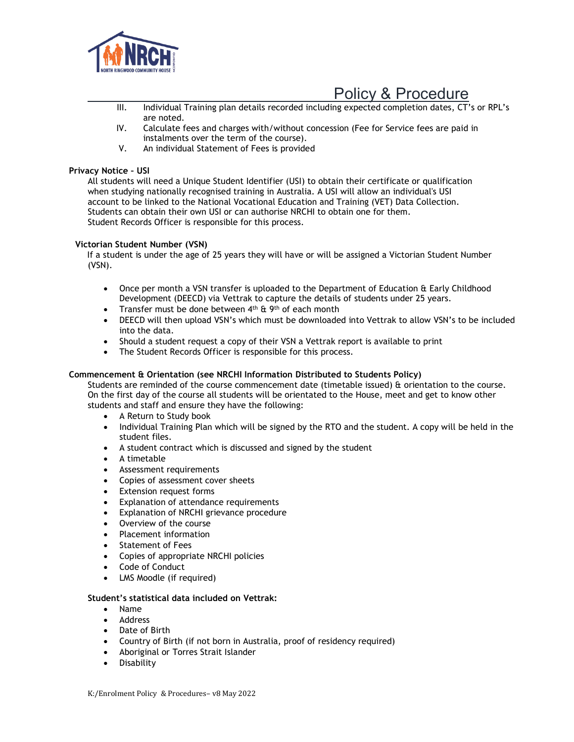

- <u>Policy & Procedure</u><br>III. Individual Training plan details recorded including expected completion dates. CT</u> Individual Training plan details recorded including expected completion dates, CT's or RPL's are noted.
- IV. Calculate fees and charges with/without concession (Fee for Service fees are paid in instalments over the term of the course).
- V. An individual Statement of Fees is provided

#### Privacy Notice – USI

All students will need a Unique Student Identifier (USI) to obtain their certificate or qualification when studying nationally recognised training in Australia. A USI will allow an individual's USI account to be linked to the National Vocational Education and Training (VET) Data Collection. Students can obtain their own USI or can authorise NRCHI to obtain one for them. Student Records Officer is responsible for this process.

#### Victorian Student Number (VSN)

 If a student is under the age of 25 years they will have or will be assigned a Victorian Student Number (VSN).

- Once per month a VSN transfer is uploaded to the Department of Education & Early Childhood Development (DEECD) via Vettrak to capture the details of students under 25 years.
- Transfer must be done between  $4<sup>th</sup>$  &  $9<sup>th</sup>$  of each month
- DEECD will then upload VSN's which must be downloaded into Vettrak to allow VSN's to be included into the data.
- Should a student request a copy of their VSN a Vettrak report is available to print
- The Student Records Officer is responsible for this process.

#### Commencement & Orientation (see NRCHI Information Distributed to Students Policy)

Students are reminded of the course commencement date (timetable issued) & orientation to the course. On the first day of the course all students will be orientated to the House, meet and get to know other students and staff and ensure they have the following:

- A Return to Study book
- Individual Training Plan which will be signed by the RTO and the student. A copy will be held in the student files.
- A student contract which is discussed and signed by the student
- A timetable
- Assessment requirements
- Copies of assessment cover sheets
- Extension request forms
- Explanation of attendance requirements
- Explanation of NRCHI grievance procedure
- Overview of the course
- Placement information
- Statement of Fees
- Copies of appropriate NRCHI policies
- Code of Conduct
- LMS Moodle (if required)

#### Student's statistical data included on Vettrak:

- Name
- Address
- Date of Birth
- Country of Birth (if not born in Australia, proof of residency required)
- Aboriginal or Torres Strait Islander
- **•** Disability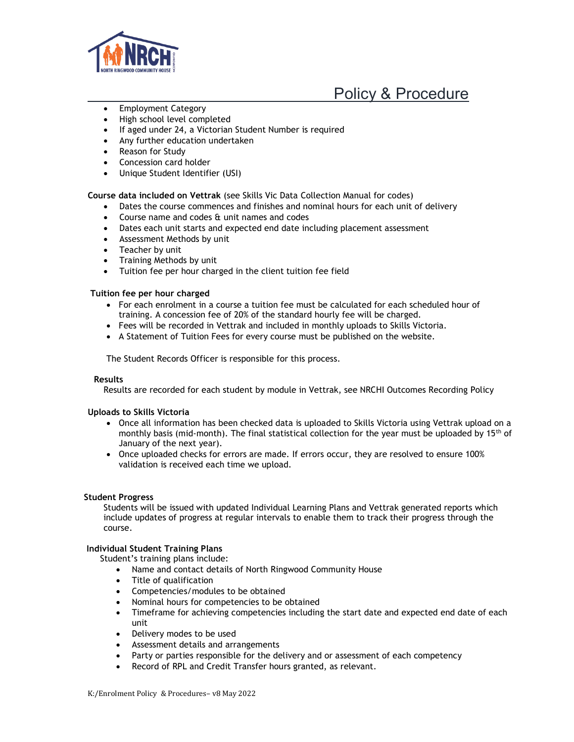

- Employment Category
- High school level completed
- If aged under 24, a Victorian Student Number is required
- Any further education undertaken
- Reason for Study
- Concession card holder
- Unique Student Identifier (USI)

Course data included on Vettrak (see Skills Vic Data Collection Manual for codes)

- Dates the course commences and finishes and nominal hours for each unit of delivery
- Course name and codes & unit names and codes
- Dates each unit starts and expected end date including placement assessment
- Assessment Methods by unit
- Teacher by unit
- Training Methods by unit
- Tuition fee per hour charged in the client tuition fee field

#### Tuition fee per hour charged

- For each enrolment in a course a tuition fee must be calculated for each scheduled hour of training. A concession fee of 20% of the standard hourly fee will be charged.
- Fees will be recorded in Vettrak and included in monthly uploads to Skills Victoria.
- A Statement of Tuition Fees for every course must be published on the website.

The Student Records Officer is responsible for this process.

#### Results

Results are recorded for each student by module in Vettrak, see NRCHI Outcomes Recording Policy

#### Uploads to Skills Victoria

- Once all information has been checked data is uploaded to Skills Victoria using Vettrak upload on a monthly basis (mid-month). The final statistical collection for the year must be uploaded by 15<sup>th</sup> of January of the next year).
- Once uploaded checks for errors are made. If errors occur, they are resolved to ensure 100% validation is received each time we upload.

#### Student Progress

Students will be issued with updated Individual Learning Plans and Vettrak generated reports which include updates of progress at regular intervals to enable them to track their progress through the course.

#### Individual Student Training Plans

Student's training plans include:

- Name and contact details of North Ringwood Community House
- Title of qualification
- Competencies/modules to be obtained
- Nominal hours for competencies to be obtained
- Timeframe for achieving competencies including the start date and expected end date of each unit
- Delivery modes to be used
- Assessment details and arrangements
- Party or parties responsible for the delivery and or assessment of each competency
- Record of RPL and Credit Transfer hours granted, as relevant.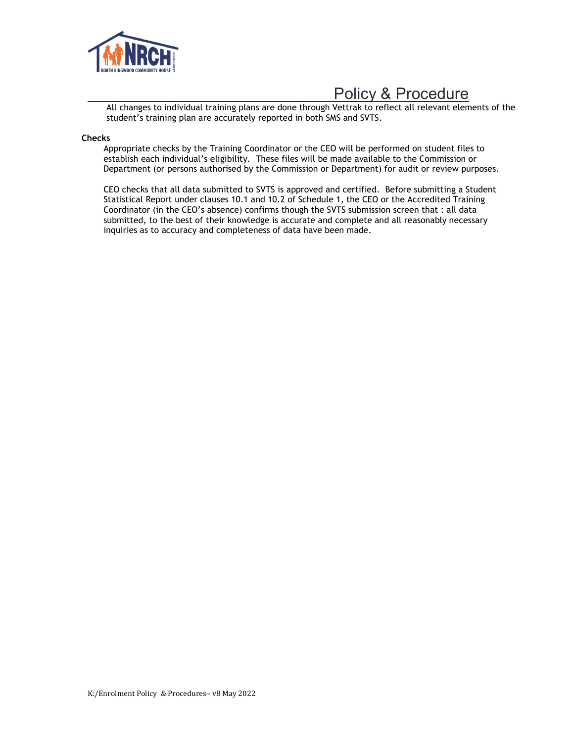

All changes to individual training plans are done through Vettrak to reflect all relevant elements of the student's training plan are accurately reported in both SMS and SVTS.

#### **Checks**

Appropriate checks by the Training Coordinator or the CEO will be performed on student files to establish each individual's eligibility. These files will be made available to the Commission or Department (or persons authorised by the Commission or Department) for audit or review purposes.

CEO checks that all data submitted to SVTS is approved and certified. Before submitting a Student Statistical Report under clauses 10.1 and 10.2 of Schedule 1, the CEO or the Accredited Training Coordinator (in the CEO's absence) confirms though the SVTS submission screen that : all data submitted, to the best of their knowledge is accurate and complete and all reasonably necessary inquiries as to accuracy and completeness of data have been made.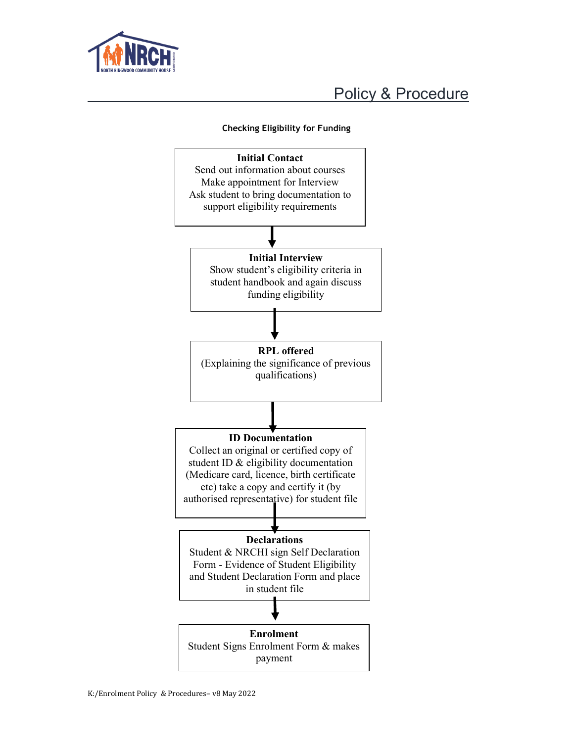



### Checking Eligibility for Funding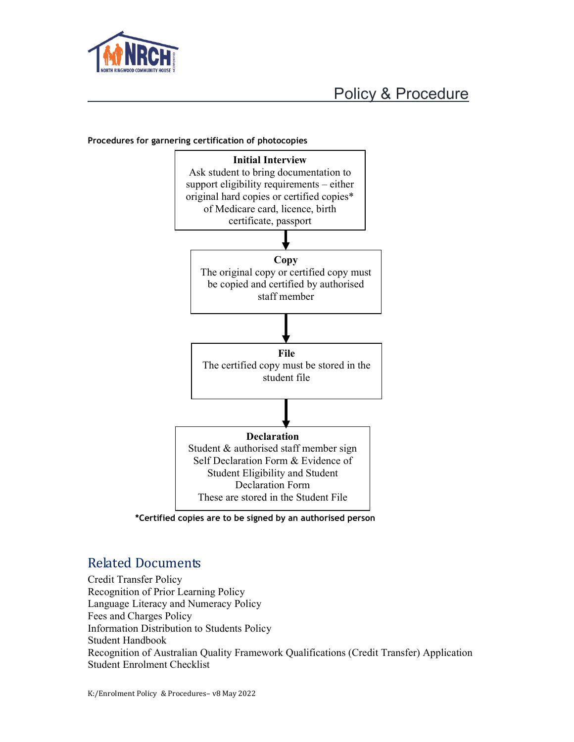



#### Procedures for garnering certification of photocopies

\*Certified copies are to be signed by an authorised person

### Related Documents

Credit Transfer Policy Recognition of Prior Learning Policy Language Literacy and Numeracy Policy Fees and Charges Policy Information Distribution to Students Policy Student Handbook Recognition of Australian Quality Framework Qualifications (Credit Transfer) Application Student Enrolment Checklist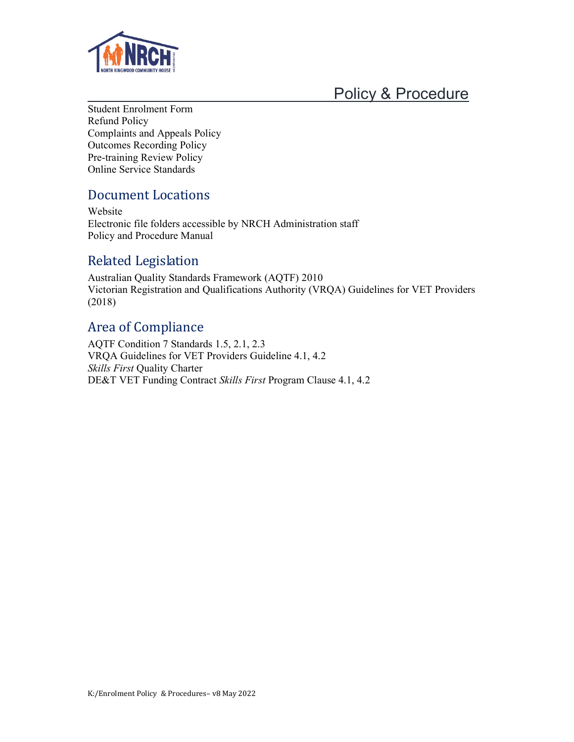

Student Enrolment Form Refund Policy Complaints and Appeals Policy Outcomes Recording Policy Pre-training Review Policy Online Service Standards

### Document Locations

Website Electronic file folders accessible by NRCH Administration staff Policy and Procedure Manual

### Related Legislation

Australian Quality Standards Framework (AQTF) 2010 Victorian Registration and Qualifications Authority (VRQA) Guidelines for VET Providers (2018)

### Area of Compliance

AQTF Condition 7 Standards 1.5, 2.1, 2.3 VRQA Guidelines for VET Providers Guideline 4.1, 4.2 Skills First Quality Charter DE&T VET Funding Contract Skills First Program Clause 4.1, 4.2